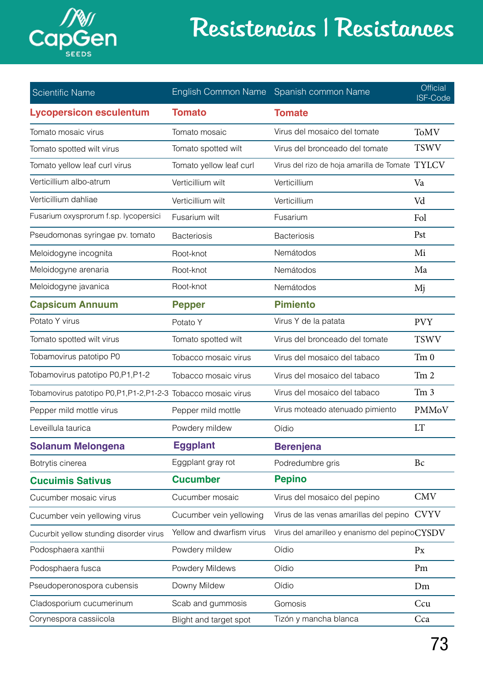

## Resistencias | Resistances

| <b>Scientific Name</b>                                      | <b>English Common Name</b> | Spanish common Name                             | <b>Official</b><br>ISF-Code |
|-------------------------------------------------------------|----------------------------|-------------------------------------------------|-----------------------------|
| <b>Lycopersicon esculentum</b>                              | <b>Tomato</b>              | <b>Tomate</b>                                   |                             |
| Tomato mosaic virus                                         | Tomato mosaic              | Virus del mosaico del tomate                    | <b>ToMV</b>                 |
| Tomato spotted wilt virus                                   | Tomato spotted wilt        | Virus del bronceado del tomate                  | <b>TSWV</b>                 |
| Tomato yellow leaf curl virus                               | Tomato yellow leaf curl    | Virus del rizo de hoja amarilla de Tomate TYLCV |                             |
| Verticillium albo-atrum                                     | Verticillium wilt          | Verticillium                                    | Va                          |
| Verticillium dahliae                                        | Verticillium wilt          | Verticillium                                    | Vd                          |
| Fusarium oxysprorum f.sp. lycopersici                       | Fusarium wilt              | Fusarium                                        | Fol                         |
| Pseudomonas syringae pv. tomato                             | <b>Bacteriosis</b>         | <b>Bacteriosis</b>                              | Pst                         |
| Meloidogyne incognita                                       | Root-knot                  | Nemátodos                                       | Mi                          |
| Meloidogyne arenaria                                        | Root-knot                  | Nemátodos                                       | Ma                          |
| Meloidogyne javanica                                        | Root-knot                  | Nemátodos                                       | Mj                          |
| <b>Capsicum Annuum</b>                                      | <b>Pepper</b>              | <b>Pimiento</b>                                 |                             |
| Potato Y virus                                              | Potato Y                   | Virus Y de la patata                            | <b>PVY</b>                  |
| Tomato spotted wilt virus                                   | Tomato spotted wilt        | Virus del bronceado del tomate                  | <b>TSWV</b>                 |
| Tobamovirus patotipo P0                                     | Tobacco mosaic virus       | Virus del mosaico del tabaco                    | Tm <sub>0</sub>             |
| Tobamovirus patotipo P0, P1, P1-2                           | Tobacco mosaic virus       | Virus del mosaico del tabaco                    | Tm <sub>2</sub>             |
| Tobamovirus patotipo P0,P1,P1-2,P1-2-3 Tobacco mosaic virus |                            | Virus del mosaico del tabaco                    | Tm <sub>3</sub>             |
| Pepper mild mottle virus                                    | Pepper mild mottle         | Virus moteado atenuado pimiento                 | PMMoV                       |
| Leveillula taurica                                          | Powdery mildew             | Oídio                                           | <b>LT</b>                   |
| <b>Solanum Melongena</b>                                    | <b>Eggplant</b>            | <b>Berenjena</b>                                |                             |
| Botrytis cinerea                                            | Eggplant gray rot          | Podredumbre gris                                | Bc                          |
| <b>Cucuimis Sativus</b>                                     | <b>Cucumber</b>            | <b>Pepino</b>                                   |                             |
| Cucumber mosaic virus                                       | Cucumber mosaic            | Virus del mosaico del pepino                    | <b>CMV</b>                  |
| Cucumber vein yellowing virus                               | Cucumber vein yellowing    | Virus de las venas amarillas del pepino         | <b>CVYV</b>                 |
| Cucurbit yellow stunding disorder virus                     | Yellow and dwarfism virus  | Virus del amarilleo y enanismo del pepinoCYSDV  |                             |
| Podosphaera xanthii                                         | Powdery mildew             | Oídio                                           | Px                          |
| Podosphaera fusca                                           | Powdery Mildews            | Oídio                                           | Pm                          |
| Pseudoperonospora cubensis                                  | Downy Mildew               | Oídio                                           | Dm                          |
| Cladosporium cucumerinum                                    | Scab and gummosis          | Gomosis                                         | Ccu                         |
| Corynespora cassiicola                                      | Blight and target spot     | Tizón y mancha blanca                           | Cca                         |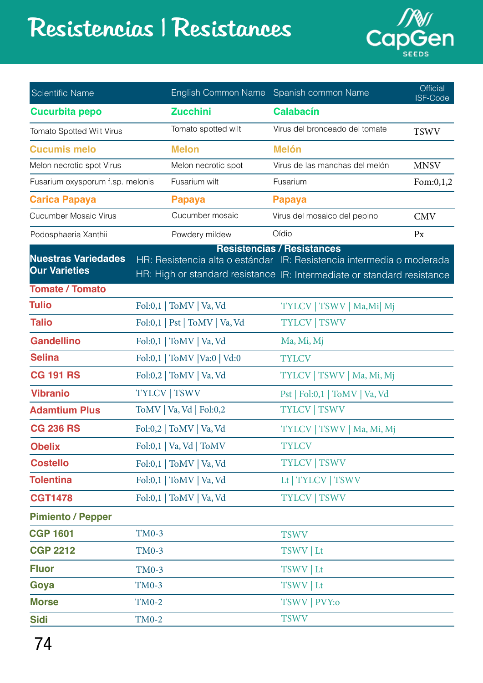## Resistencias | Resistances



| <b>Scientific Name</b>           |              | <b>English Common Name</b>    | Spanish common Name                                                                                        | <b>Official</b><br><b>ISF-Code</b> |
|----------------------------------|--------------|-------------------------------|------------------------------------------------------------------------------------------------------------|------------------------------------|
| <b>Cucurbita pepo</b>            |              | <b>Zucchini</b>               | <b>Calabacín</b>                                                                                           |                                    |
| Tomato Spotted Wilt Virus        |              | Tomato spotted wilt           | Virus del bronceado del tomate                                                                             | <b>TSWV</b>                        |
| <b>Cucumis melo</b>              |              | <b>Melon</b>                  | <b>Melón</b>                                                                                               |                                    |
| Melon necrotic spot Virus        |              | Melon necrotic spot           | Virus de las manchas del melón                                                                             | <b>MNSV</b>                        |
| Fusarium oxysporum f.sp. melonis |              | Fusarium wilt                 | Fusarium                                                                                                   | Fom: $0,1,2$                       |
| <b>Carica Papaya</b>             |              | <b>Papaya</b>                 | <b>Papaya</b>                                                                                              |                                    |
| <b>Cucumber Mosaic Virus</b>     |              | Cucumber mosaic               | Virus del mosaico del pepino                                                                               | <b>CMV</b>                         |
| Podosphaeria Xanthii             |              | Powdery mildew                | Oídio                                                                                                      | $P_{X}$                            |
| <b>Nuestras Variedades</b>       |              |                               | <b>Resistencias / Resistances</b><br>HR: Resistencia alta o estándar IR: Resistencia intermedia o moderada |                                    |
| <b>Our Varieties</b>             |              |                               | HR: High or standard resistance IR: Intermediate or standard resistance                                    |                                    |
| <b>Tomate / Tomato</b>           |              |                               |                                                                                                            |                                    |
| <b>Tulio</b>                     |              | Fol:0,1   ToMV   Va, Vd       | $TSWV$   Ma,Mi  Mj<br><b>TYLCV</b>                                                                         |                                    |
| <b>Talio</b>                     |              | Fol:0,1   Pst   ToMV   Va, Vd | <b>TYLCV   TSWV</b>                                                                                        |                                    |
| <b>Gandellino</b>                |              | Fol:0,1   ToMV   Va, Vd       | Ma, Mi, Mj                                                                                                 |                                    |
| <b>Selina</b>                    |              | Fol:0,1   ToMV   Va:0   Vd:0  | <b>TYLCV</b>                                                                                               |                                    |
| <b>CG 191 RS</b>                 |              | Fol:0,2   ToMV   Va, Vd       | TYLCV   TSWV   Ma, Mi, Mj                                                                                  |                                    |
| <b>Vibranio</b>                  |              | <b>TYLCV   TSWV</b>           | Pst   Fol:0,1   ToMV   Va, Vd                                                                              |                                    |
| <b>Adamtium Plus</b>             |              | ToMV   Va, Vd   Fol:0,2       | <b>TYLCV   TSWV</b>                                                                                        |                                    |
| <b>CG 236 RS</b>                 |              | Fol:0,2   ToMV   Va, Vd       | TYLCV   TSWV   Ma, Mi, Mj                                                                                  |                                    |
| <b>Obelix</b>                    |              | Fol:0,1   Va, Vd   ToMV       | <b>TYLCV</b>                                                                                               |                                    |
| <b>Costello</b>                  |              | Fol:0,1   ToMV   Va, Vd       | <b>TYLCV   TSWV</b>                                                                                        |                                    |
| <b>Tolentina</b>                 |              | Fol:0,1   ToMV   Va, Vd       | Lt   TYLCV   TSWV                                                                                          |                                    |
| <b>CGT1478</b>                   |              | Fol:0,1   ToMV   Va, Vd       | <b>TYLCV   TSWV</b>                                                                                        |                                    |
| <b>Pimiento / Pepper</b>         |              |                               |                                                                                                            |                                    |
| <b>CGP 1601</b>                  | <b>TM0-3</b> |                               | <b>TSWV</b>                                                                                                |                                    |
| <b>CGP 2212</b>                  | <b>TM0-3</b> |                               | TSWV   Lt                                                                                                  |                                    |
| <b>Fluor</b>                     | <b>TM0-3</b> |                               | TSWV   Lt                                                                                                  |                                    |
| Goya                             | <b>TM0-3</b> |                               | TSWV   Lt                                                                                                  |                                    |
| <b>Morse</b>                     | <b>TM0-2</b> |                               | TSWV   PVY:0                                                                                               |                                    |
| <b>Sidi</b>                      | <b>TM0-2</b> |                               | <b>TSWV</b>                                                                                                |                                    |